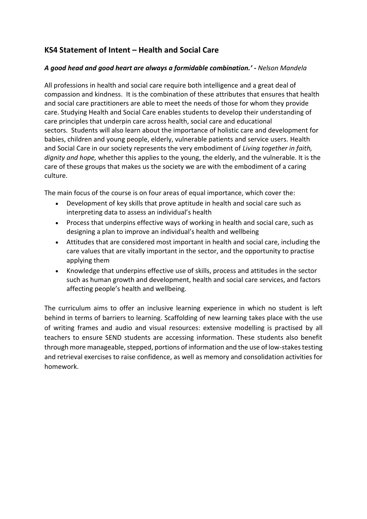# **KS4 Statement of Intent – Health and Social Care**

# *A good head and good heart are always a formidable combination.' - Nelson Mandela*

All professions in health and social care require both intelligence and a great deal of compassion and kindness. It is the combination of these attributes that ensures that health and social care practitioners are able to meet the needs of those for whom they provide care. Studying Health and Social Care enables students to develop their understanding of care principles that underpin care across health, social care and educational sectors. Students will also learn about the importance of holistic care and development for babies, children and young people, elderly, vulnerable patients and service users. Health and Social Care in our society represents the very embodiment of *Living together in faith, dignity and hope,* whether this applies to the young, the elderly, and the vulnerable. It is the care of these groups that makes us the society we are with the embodiment of a caring culture.

The main focus of the course is on four areas of equal importance, which cover the:

- Development of key skills that prove aptitude in health and social care such as interpreting data to assess an individual's health
- Process that underpins effective ways of working in health and social care, such as designing a plan to improve an individual's health and wellbeing
- Attitudes that are considered most important in health and social care, including the care values that are vitally important in the sector, and the opportunity to practise applying them
- Knowledge that underpins effective use of skills, process and attitudes in the sector such as human growth and development, health and social care services, and factors affecting people's health and wellbeing.

The curriculum aims to offer an inclusive learning experience in which no student is left behind in terms of barriers to learning. Scaffolding of new learning takes place with the use of writing frames and audio and visual resources: extensive modelling is practised by all teachers to ensure SEND students are accessing information. These students also benefit through more manageable, stepped, portions of information and the use of low-stakes testing and retrieval exercises to raise confidence, as well as memory and consolidation activities for homework.